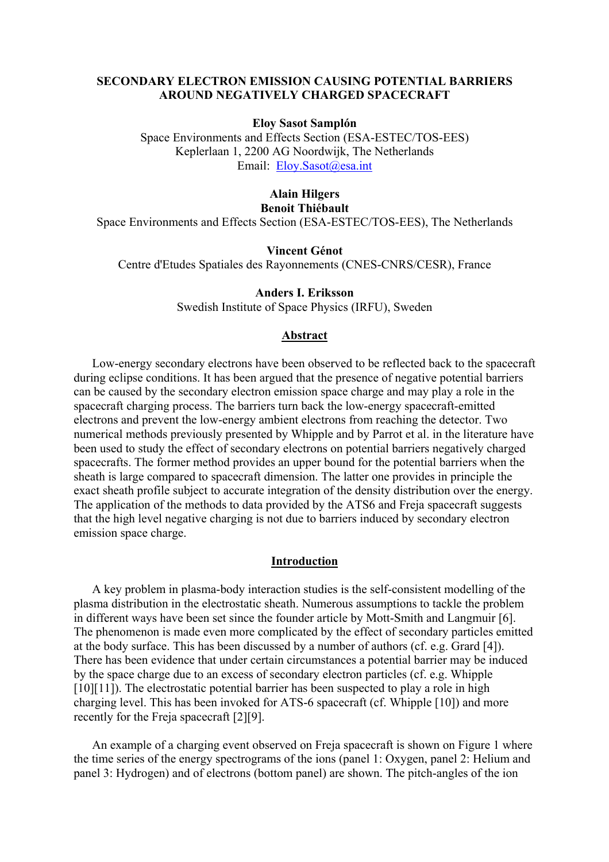### **SECONDARY ELECTRON EMISSION CAUSING POTENTIAL BARRIERS AROUND NEGATIVELY CHARGED SPACECRAFT**

### **Eloy Sasot Samplón**

Space Environments and Effects Section (ESA-ESTEC/TOS-EES) Keplerlaan 1, 2200 AG Noordwijk, The Netherlands Email: [Eloy.Sasot@esa.int](mailto:Eloy.Sasot@esa.int)

### **Alain Hilgers Benoit Thiébault**

Space Environments and Effects Section (ESA-ESTEC/TOS-EES), The Netherlands

**Vincent Génot**

Centre d'Etudes Spatiales des Rayonnements (CNES-CNRS/CESR), France

**Anders I. Eriksson**  Swedish Institute of Space Physics (IRFU), Sweden

#### **Abstract**

Low-energy secondary electrons have been observed to be reflected back to the spacecraft during eclipse conditions. It has been argued that the presence of negative potential barriers can be caused by the secondary electron emission space charge and may play a role in the spacecraft charging process. The barriers turn back the low-energy spacecraft-emitted electrons and prevent the low-energy ambient electrons from reaching the detector. Two numerical methods previously presented by Whipple and by Parrot et al. in the literature have been used to study the effect of secondary electrons on potential barriers negatively charged spacecrafts. The former method provides an upper bound for the potential barriers when the sheath is large compared to spacecraft dimension. The latter one provides in principle the exact sheath profile subject to accurate integration of the density distribution over the energy. The application of the methods to data provided by the ATS6 and Freja spacecraft suggests that the high level negative charging is not due to barriers induced by secondary electron emission space charge.

#### **Introduction**

A key problem in plasma-body interaction studies is the self-consistent modelling of the plasma distribution in the electrostatic sheath. Numerous assumptions to tackle the problem in different ways have been set since the founder article by Mott-Smith and Langmuir [6]. The phenomenon is made even more complicated by the effect of secondary particles emitted at the body surface. This has been discussed by a number of authors (cf. e.g. Grard [4]). There has been evidence that under certain circumstances a potential barrier may be induced by the space charge due to an excess of secondary electron particles (cf. e.g. Whipple [10][11]). The electrostatic potential barrier has been suspected to play a role in high charging level. This has been invoked for ATS-6 spacecraft (cf. Whipple [10]) and more recently for the Freja spacecraft [2][9].

An example of a charging event observed on Freja spacecraft is shown on Figure 1 where the time series of the energy spectrograms of the ions (panel 1: Oxygen, panel 2: Helium and panel 3: Hydrogen) and of electrons (bottom panel) are shown. The pitch-angles of the ion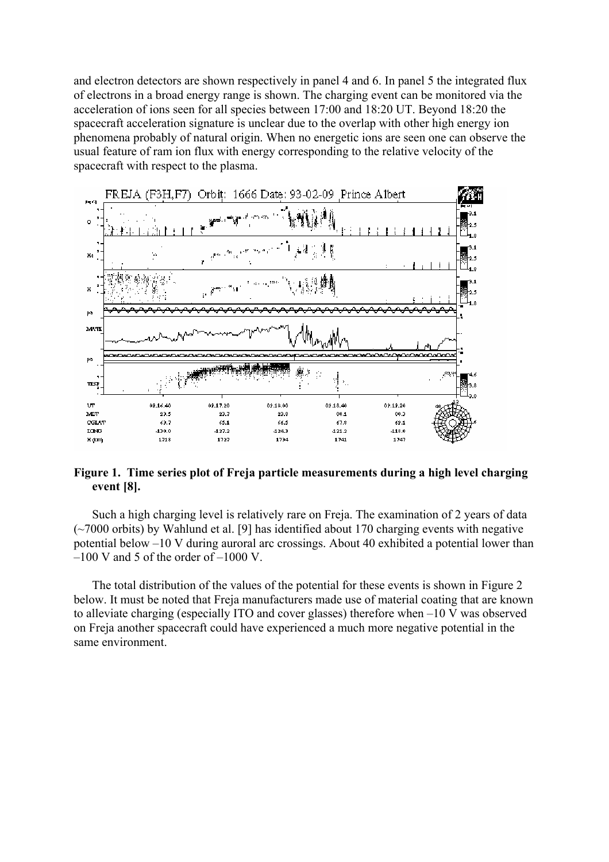and electron detectors are shown respectively in panel 4 and 6. In panel 5 the integrated flux of electrons in a broad energy range is shown. The charging event can be monitored via the acceleration of ions seen for all species between 17:00 and 18:20 UT. Beyond 18:20 the spacecraft acceleration signature is unclear due to the overlap with other high energy ion phenomena probably of natural origin. When no energetic ions are seen one can observe the usual feature of ram ion flux with energy corresponding to the relative velocity of the spacecraft with respect to the plasma.



## **Figure 1. Time series plot of Freja particle measurements during a high level charging event [8].**

Such a high charging level is relatively rare on Freja. The examination of 2 years of data (~7000 orbits) by Wahlund et al. [9] has identified about 170 charging events with negative potential below –10 V during auroral arc crossings. About 40 exhibited a potential lower than  $-100$  V and 5 of the order of  $-1000$  V.

The total distribution of the values of the potential for these events is shown in Figure 2 below. It must be noted that Freja manufacturers made use of material coating that are known to alleviate charging (especially ITO and cover glasses) therefore when –10 V was observed on Freja another spacecraft could have experienced a much more negative potential in the same environment.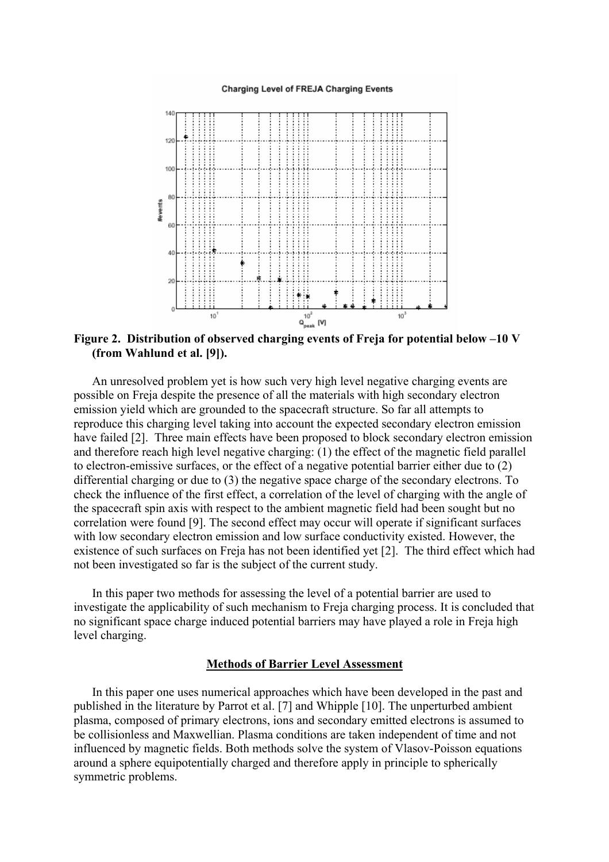#### Charging Level of FREJA Charging Events



**Figure 2. Distribution of observed charging events of Freja for potential below –10 V (from Wahlund et al. [9]).** 

An unresolved problem yet is how such very high level negative charging events are possible on Freja despite the presence of all the materials with high secondary electron emission yield which are grounded to the spacecraft structure. So far all attempts to reproduce this charging level taking into account the expected secondary electron emission have failed [2]. Three main effects have been proposed to block secondary electron emission and therefore reach high level negative charging: (1) the effect of the magnetic field parallel to electron-emissive surfaces, or the effect of a negative potential barrier either due to (2) differential charging or due to (3) the negative space charge of the secondary electrons. To check the influence of the first effect, a correlation of the level of charging with the angle of the spacecraft spin axis with respect to the ambient magnetic field had been sought but no correlation were found [9]. The second effect may occur will operate if significant surfaces with low secondary electron emission and low surface conductivity existed. However, the existence of such surfaces on Freja has not been identified yet [2]. The third effect which had not been investigated so far is the subject of the current study.

In this paper two methods for assessing the level of a potential barrier are used to investigate the applicability of such mechanism to Freja charging process. It is concluded that no significant space charge induced potential barriers may have played a role in Freja high level charging.

#### **Methods of Barrier Level Assessment**

In this paper one uses numerical approaches which have been developed in the past and published in the literature by Parrot et al. [7] and Whipple [10]. The unperturbed ambient plasma, composed of primary electrons, ions and secondary emitted electrons is assumed to be collisionless and Maxwellian. Plasma conditions are taken independent of time and not influenced by magnetic fields. Both methods solve the system of Vlasov-Poisson equations around a sphere equipotentially charged and therefore apply in principle to spherically symmetric problems.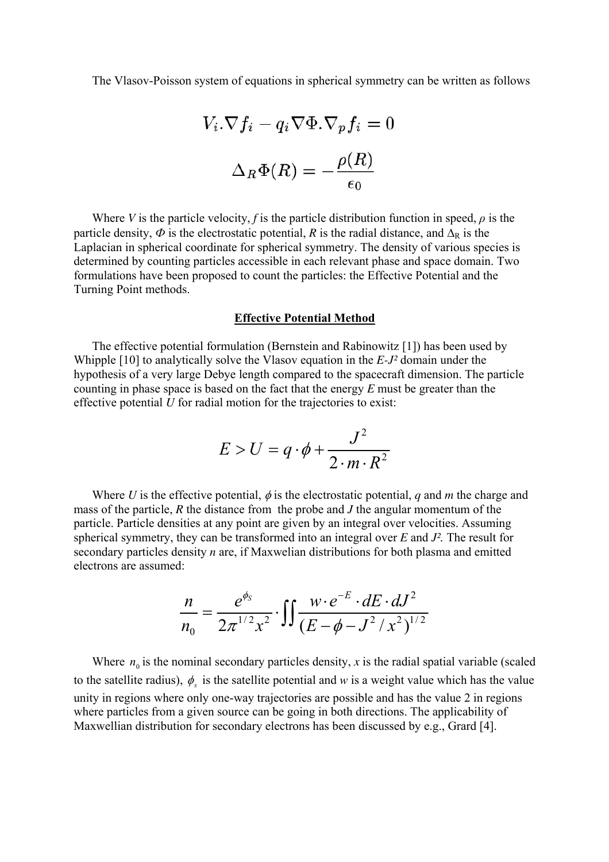The Vlasov-Poisson system of equations in spherical symmetry can be written as follows

$$
V_i.\nabla f_i - q_i \nabla \Phi.\nabla_p f_i = 0
$$

$$
\Delta_R \Phi(R) = -\frac{\rho(R)}{\epsilon_0}
$$

Where *V* is the particle velocity, *f* is the particle distribution function in speed,  $\rho$  is the particle density,  $\Phi$  is the electrostatic potential, *R* is the radial distance, and  $\Delta_R$  is the Laplacian in spherical coordinate for spherical symmetry. The density of various species is determined by counting particles accessible in each relevant phase and space domain. Two formulations have been proposed to count the particles: the Effective Potential and the Turning Point methods.

#### **Effective Potential Method**

The effective potential formulation (Bernstein and Rabinowitz [1]) has been used by Whipple [10] to analytically solve the Vlasov equation in the *E-J²* domain under the hypothesis of a very large Debye length compared to the spacecraft dimension. The particle counting in phase space is based on the fact that the energy *E* must be greater than the effective potential *U* for radial motion for the trajectories to exist:

$$
E > U = q \cdot \phi + \frac{J^2}{2 \cdot m \cdot R^2}
$$

Where *U* is the effective potential,  $\phi$  is the electrostatic potential, *q* and *m* the charge and mass of the particle, *R* the distance from the probe and *J* the angular momentum of the particle. Particle densities at any point are given by an integral over velocities. Assuming spherical symmetry, they can be transformed into an integral over *E* and *J².* The result for secondary particles density *n* are, if Maxwelian distributions for both plasma and emitted electrons are assumed:

$$
\frac{n}{n_0} = \frac{e^{\phi_S}}{2\pi^{1/2}x^2} \cdot \iint \frac{w \cdot e^{-E} \cdot dE \cdot dJ^2}{(E - \phi - J^2 / x^2)^{1/2}}
$$

Where  $n_0$  is the nominal secondary particles density, x is the radial spatial variable (scaled to the satellite radius),  $\phi_s$  is the satellite potential and *w* is a weight value which has the value unity in regions where only one-way trajectories are possible and has the value 2 in regions where particles from a given source can be going in both directions. The applicability of Maxwellian distribution for secondary electrons has been discussed by e.g., Grard [4].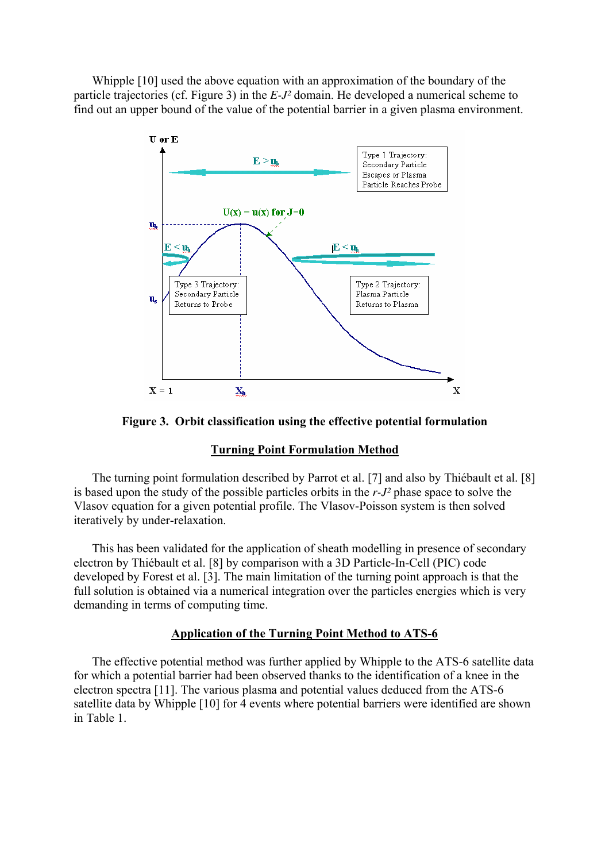Whipple [10] used the above equation with an approximation of the boundary of the particle trajectories (cf. Figure 3) in the *E-J²* domain. He developed a numerical scheme to find out an upper bound of the value of the potential barrier in a given plasma environment.



**Figure 3. Orbit classification using the effective potential formulation** 

### **Turning Point Formulation Method**

The turning point formulation described by Parrot et al. [7] and also by Thiébault et al. [8] is based upon the study of the possible particles orbits in the *r-J²* phase space to solve the Vlasov equation for a given potential profile. The Vlasov-Poisson system is then solved iteratively by under-relaxation.

This has been validated for the application of sheath modelling in presence of secondary electron by Thiébault et al. [8] by comparison with a 3D Particle-In-Cell (PIC) code developed by Forest et al. [3]. The main limitation of the turning point approach is that the full solution is obtained via a numerical integration over the particles energies which is very demanding in terms of computing time.

# **Application of the Turning Point Method to ATS-6**

The effective potential method was further applied by Whipple to the ATS-6 satellite data for which a potential barrier had been observed thanks to the identification of a knee in the electron spectra [11]. The various plasma and potential values deduced from the ATS-6 satellite data by Whipple [10] for 4 events where potential barriers were identified are shown in Table 1.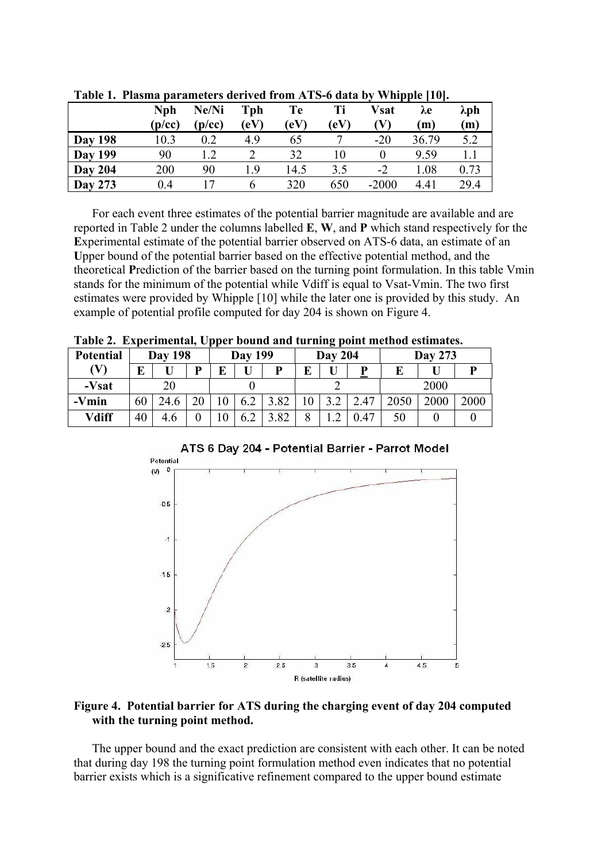|                | <b>Nph</b><br>(p/cc) | Ne/Ni<br>(p/cc) | Tph<br>$\rm(eV)$ | Te<br>$\rm(eV)$ | Ti<br>(eV) | <b>Vsat</b><br>W | $\lambda$ e<br>(m) | λph<br>(m) |
|----------------|----------------------|-----------------|------------------|-----------------|------------|------------------|--------------------|------------|
| <b>Day 198</b> | 10.3                 | 0.2             | 4.9              | 65              |            | $-20$            | 36.79              | 5.2        |
| <b>Day 199</b> | 90                   |                 |                  | 32              | 10         |                  | 9.59               |            |
| <b>Day 204</b> | 200                  | 90              | - 9              | 14.5            | 3.5        | $-2$             | 1.08               | 0.73       |
| <b>Day 273</b> | 0.4                  |                 | O                | 320             | 650        | $-2000$          | 4.41               | 29.4       |

**Table 1. Plasma parameters derived from ATS-6 data by Whipple [10].** 

For each event three estimates of the potential barrier magnitude are available and are reported in Table 2 under the columns labelled **E**, **W**, and **P** which stand respectively for the **E**xperimental estimate of the potential barrier observed on ATS-6 data, an estimate of an **U**pper bound of the potential barrier based on the effective potential method, and the theoretical **P**rediction of the barrier based on the turning point formulation. In this table Vmin stands for the minimum of the potential while Vdiff is equal to Vsat-Vmin. The two first estimates were provided by Whipple [10] while the later one is provided by this study. An example of potential profile computed for day 204 is shown on Figure 4.

**Table 2. Experimental, Upper bound and turning point method estimates.** 

| <b>Potential</b> | <b>Day 198</b> |      |   | <b>Day 199</b> |     |      | <b>Day 204</b> |  |      | <b>Day 273</b> |      |      |
|------------------|----------------|------|---|----------------|-----|------|----------------|--|------|----------------|------|------|
| W                | ப              |      | D |                |     | D    | E              |  | D    |                |      |      |
| -Vsat            |                |      |   |                |     |      |                |  |      | 2000           |      |      |
| -Vmin            | 60             | 24.6 |   |                | 6.2 | 3.82 | 10             |  | 2.47 |                | 2000 | 2000 |
| Vdiff            | 40             | 4.6  |   |                | 6.2 | .82  | 8              |  | 0.47 | 50             |      |      |



# **Figure 4. Potential barrier for ATS during the charging event of day 204 computed with the turning point method.**

The upper bound and the exact prediction are consistent with each other. It can be noted that during day 198 the turning point formulation method even indicates that no potential barrier exists which is a significative refinement compared to the upper bound estimate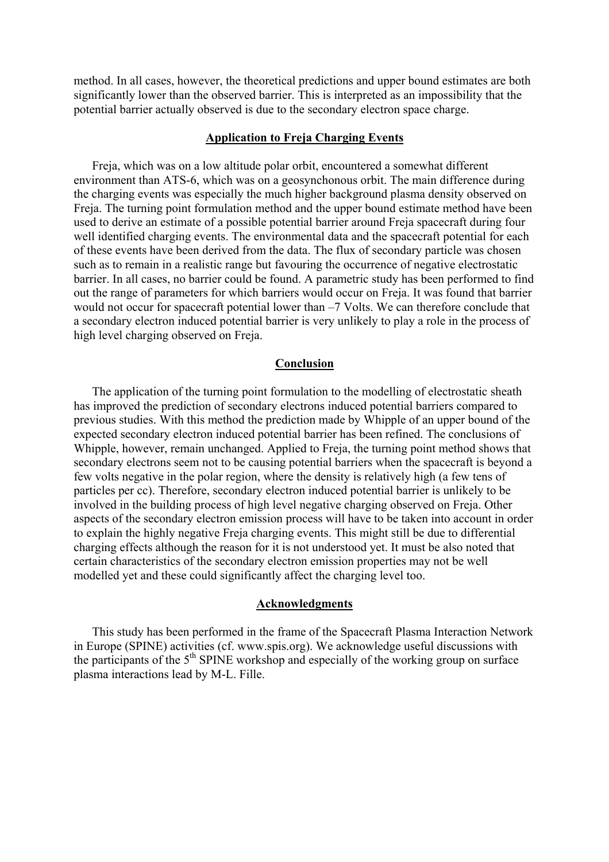method. In all cases, however, the theoretical predictions and upper bound estimates are both significantly lower than the observed barrier. This is interpreted as an impossibility that the potential barrier actually observed is due to the secondary electron space charge.

### **Application to Freja Charging Events**

Freja, which was on a low altitude polar orbit, encountered a somewhat different environment than ATS-6, which was on a geosynchonous orbit. The main difference during the charging events was especially the much higher background plasma density observed on Freja. The turning point formulation method and the upper bound estimate method have been used to derive an estimate of a possible potential barrier around Freja spacecraft during four well identified charging events. The environmental data and the spacecraft potential for each of these events have been derived from the data. The flux of secondary particle was chosen such as to remain in a realistic range but favouring the occurrence of negative electrostatic barrier. In all cases, no barrier could be found. A parametric study has been performed to find out the range of parameters for which barriers would occur on Freja. It was found that barrier would not occur for spacecraft potential lower than  $-7$  Volts. We can therefore conclude that a secondary electron induced potential barrier is very unlikely to play a role in the process of high level charging observed on Freja.

# **Conclusion**

The application of the turning point formulation to the modelling of electrostatic sheath has improved the prediction of secondary electrons induced potential barriers compared to previous studies. With this method the prediction made by Whipple of an upper bound of the expected secondary electron induced potential barrier has been refined. The conclusions of Whipple, however, remain unchanged. Applied to Freja, the turning point method shows that secondary electrons seem not to be causing potential barriers when the spacecraft is beyond a few volts negative in the polar region, where the density is relatively high (a few tens of particles per cc). Therefore, secondary electron induced potential barrier is unlikely to be involved in the building process of high level negative charging observed on Freja. Other aspects of the secondary electron emission process will have to be taken into account in order to explain the highly negative Freja charging events. This might still be due to differential charging effects although the reason for it is not understood yet. It must be also noted that certain characteristics of the secondary electron emission properties may not be well modelled yet and these could significantly affect the charging level too.

### **Acknowledgments**

This study has been performed in the frame of the Spacecraft Plasma Interaction Network in Europe (SPINE) activities (cf. www.spis.org). We acknowledge useful discussions with the participants of the  $5<sup>th</sup>$  SPINE workshop and especially of the working group on surface plasma interactions lead by M-L. Fille.